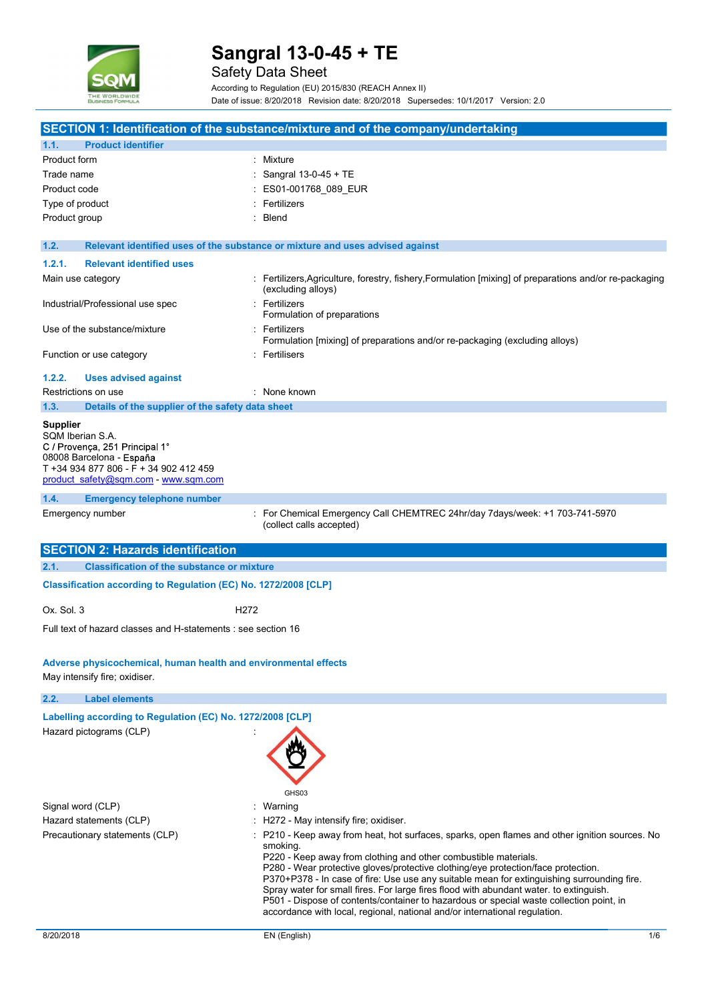

|                                                                                                                                                                                     | Sangral 13-0-45 + TE                                                                                                                                                                                                                                                                                                                                                                                                                                |
|-------------------------------------------------------------------------------------------------------------------------------------------------------------------------------------|-----------------------------------------------------------------------------------------------------------------------------------------------------------------------------------------------------------------------------------------------------------------------------------------------------------------------------------------------------------------------------------------------------------------------------------------------------|
|                                                                                                                                                                                     | <b>Safety Data Sheet</b><br>According to Regulation (EU) 2015/830 (REACH Annex II)                                                                                                                                                                                                                                                                                                                                                                  |
| <b>HE WORLDWIDE</b>                                                                                                                                                                 | Date of issue: 8/20/2018 Revision date: 8/20/2018 Supersedes: 10/1/2017 Version: 2.0                                                                                                                                                                                                                                                                                                                                                                |
|                                                                                                                                                                                     |                                                                                                                                                                                                                                                                                                                                                                                                                                                     |
| <b>Product identifier</b><br>1.1.                                                                                                                                                   | SECTION 1: Identification of the substance/mixture and of the company/undertaking                                                                                                                                                                                                                                                                                                                                                                   |
| Product form                                                                                                                                                                        | : Mixture                                                                                                                                                                                                                                                                                                                                                                                                                                           |
| Trade name                                                                                                                                                                          | Sangral 13-0-45 + TE                                                                                                                                                                                                                                                                                                                                                                                                                                |
| Product code                                                                                                                                                                        | ES01-001768_089_EUR                                                                                                                                                                                                                                                                                                                                                                                                                                 |
| Type of product                                                                                                                                                                     | Fertilizers                                                                                                                                                                                                                                                                                                                                                                                                                                         |
| Product group                                                                                                                                                                       | Blend                                                                                                                                                                                                                                                                                                                                                                                                                                               |
| 1.2.                                                                                                                                                                                | Relevant identified uses of the substance or mixture and uses advised against                                                                                                                                                                                                                                                                                                                                                                       |
| <b>Relevant identified uses</b><br>1.2.1.                                                                                                                                           |                                                                                                                                                                                                                                                                                                                                                                                                                                                     |
| Main use category                                                                                                                                                                   | : Fertilizers, Agriculture, forestry, fishery, Formulation [mixing] of preparations and/or re-packaging                                                                                                                                                                                                                                                                                                                                             |
| Industrial/Professional use spec                                                                                                                                                    | (excluding alloys)<br>: Fertilizers                                                                                                                                                                                                                                                                                                                                                                                                                 |
|                                                                                                                                                                                     | Formulation of preparations                                                                                                                                                                                                                                                                                                                                                                                                                         |
| Use of the substance/mixture                                                                                                                                                        | : Fertilizers<br>Formulation [mixing] of preparations and/or re-packaging (excluding alloys)                                                                                                                                                                                                                                                                                                                                                        |
| Function or use category                                                                                                                                                            | : Fertilisers                                                                                                                                                                                                                                                                                                                                                                                                                                       |
| 1.2.2.<br><b>Uses advised against</b>                                                                                                                                               |                                                                                                                                                                                                                                                                                                                                                                                                                                                     |
| Restrictions on use                                                                                                                                                                 | : None known                                                                                                                                                                                                                                                                                                                                                                                                                                        |
| 1.3.<br>Details of the supplier of the safety data sheet                                                                                                                            |                                                                                                                                                                                                                                                                                                                                                                                                                                                     |
| <b>Supplier</b><br>SQM Iberian S.A.<br>C / Provença, 251 Principal 1°<br>08008 Barcelona - España<br>T +34 934 877 806 - F + 34 902 412 459<br>product safety@sqm.com - www.sqm.com |                                                                                                                                                                                                                                                                                                                                                                                                                                                     |
| 1.4.<br><b>Emergency telephone number</b>                                                                                                                                           |                                                                                                                                                                                                                                                                                                                                                                                                                                                     |
| Emergency number                                                                                                                                                                    | : For Chemical Emergency Call CHEMTREC 24hr/day 7days/week: +1 703-741-5970<br>(collect calls accepted)                                                                                                                                                                                                                                                                                                                                             |
| <b>SECTION 2: Hazards identification</b>                                                                                                                                            |                                                                                                                                                                                                                                                                                                                                                                                                                                                     |
| <b>Classification of the substance or mixture</b><br>2.1.                                                                                                                           |                                                                                                                                                                                                                                                                                                                                                                                                                                                     |
| Classification according to Regulation (EC) No. 1272/2008 [CLP]                                                                                                                     |                                                                                                                                                                                                                                                                                                                                                                                                                                                     |
| Ox. Sol. 3                                                                                                                                                                          | H <sub>2</sub> 72                                                                                                                                                                                                                                                                                                                                                                                                                                   |
| Full text of hazard classes and H-statements : see section 16                                                                                                                       |                                                                                                                                                                                                                                                                                                                                                                                                                                                     |
|                                                                                                                                                                                     |                                                                                                                                                                                                                                                                                                                                                                                                                                                     |
| Adverse physicochemical, human health and environmental effects<br>May intensify fire; oxidiser.                                                                                    |                                                                                                                                                                                                                                                                                                                                                                                                                                                     |
| <b>Label elements</b><br>2.2.                                                                                                                                                       |                                                                                                                                                                                                                                                                                                                                                                                                                                                     |
| Labelling according to Regulation (EC) No. 1272/2008 [CLP]                                                                                                                          |                                                                                                                                                                                                                                                                                                                                                                                                                                                     |
| Hazard pictograms (CLP)                                                                                                                                                             |                                                                                                                                                                                                                                                                                                                                                                                                                                                     |
| Signal word (CLP)                                                                                                                                                                   | GHS03<br>: Warning                                                                                                                                                                                                                                                                                                                                                                                                                                  |
| Hazard statements (CLP)                                                                                                                                                             | : H272 - May intensify fire; oxidiser.                                                                                                                                                                                                                                                                                                                                                                                                              |
| Precautionary statements (CLP)                                                                                                                                                      | P210 - Keep away from heat, hot surfaces, sparks, open flames and other ignition sources. No                                                                                                                                                                                                                                                                                                                                                        |
|                                                                                                                                                                                     | smoking.<br>P220 - Keep away from clothing and other combustible materials.<br>P280 - Wear protective gloves/protective clothing/eye protection/face protection.<br>P370+P378 - In case of fire: Use use any suitable mean for extinguishing surrounding fire.<br>Spray water for small fires. For large fires flood with abundant water. to extinguish.<br>P501 - Dispose of contents/container to hazardous or special waste collection point, in |

accordance with local, regional, national and/or international regulation.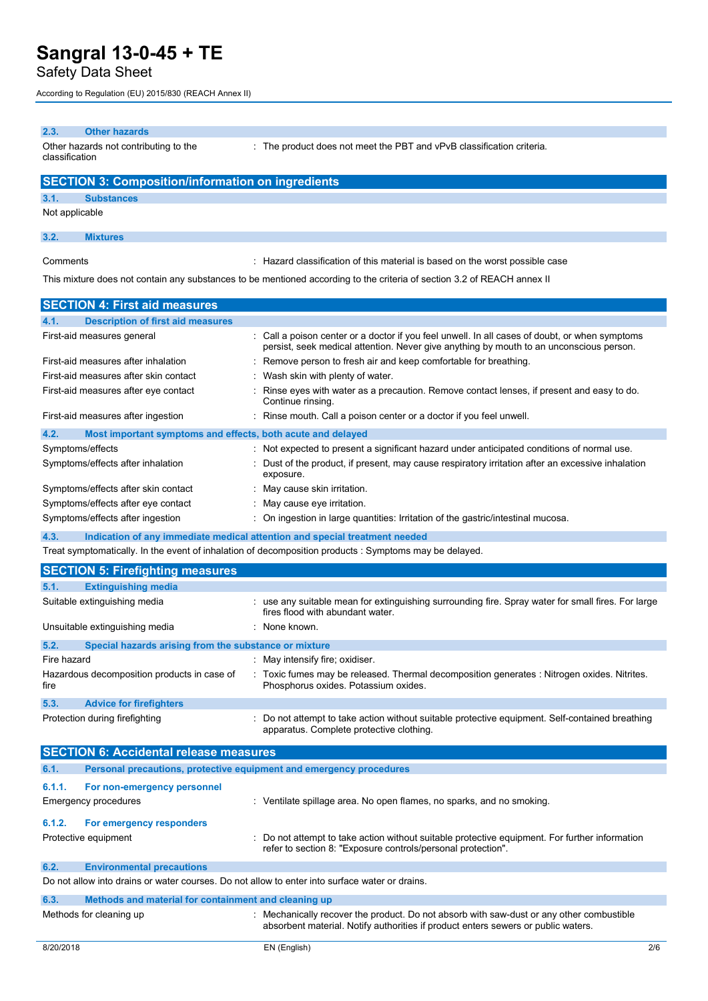### Safety Data Sheet

According to Regulation (EU) 2015/830 (REACH Annex II)

#### 2.3. Other hazards

Other hazards not contributing to the classification

: The product does not meet the PBT and vPvB classification criteria.

### SECTION 3: Composition/information on ingredients 3.1. Substances Not applicable

#### 3.2. Mixtures

Comments : Hazard classification of this material is based on the worst possible case

This mixture does not contain any substances to be mentioned according to the criteria of section 3.2 of REACH annex II

| <b>SECTION 4: First aid measures</b>                                |                                                                                                                                                                                           |
|---------------------------------------------------------------------|-------------------------------------------------------------------------------------------------------------------------------------------------------------------------------------------|
| <b>Description of first aid measures</b><br>4.1.                    |                                                                                                                                                                                           |
| First-aid measures general                                          | : Call a poison center or a doctor if you feel unwell. In all cases of doubt, or when symptoms<br>persist, seek medical attention. Never give anything by mouth to an unconscious person. |
| First-aid measures after inhalation                                 | : Remove person to fresh air and keep comfortable for breathing.                                                                                                                          |
| First-aid measures after skin contact                               | Wash skin with plenty of water                                                                                                                                                            |
| First-aid measures after eye contact                                | Rinse eyes with water as a precaution. Remove contact lenses, if present and easy to do.<br>Continue rinsing.                                                                             |
| First-aid measures after ingestion                                  | : Rinse mouth. Call a poison center or a doctor if you feel unwell.                                                                                                                       |
| 4.2.<br>Most important symptoms and effects, both acute and delayed |                                                                                                                                                                                           |
| Symptoms/effects                                                    | : Not expected to present a significant hazard under anticipated conditions of normal use.                                                                                                |
| Symptoms/effects after inhalation                                   | : Dust of the product, if present, may cause respiratory irritation after an excessive inhalation<br>exposure.                                                                            |
| Symptoms/effects after skin contact                                 | : May cause skin irritation.                                                                                                                                                              |
| Symptoms/effects after eye contact                                  | May cause eye irritation.                                                                                                                                                                 |
| Symptoms/effects after ingestion                                    | : On ingestion in large quantities: Irritation of the gastric/intestinal mucosa.                                                                                                          |

4.3. Indication of any immediate medical attention and special treatment needed

Treat symptomatically. In the event of inhalation of decomposition products : Symptoms may be delayed.

# SECTION 5: Firefighting measures 5.1. Extinguishing media Suitable extinguishing media **interproduce the suitable mean** for extinguishing surrounding fire. Spray water for small fires. For large fires flood with abundant water. Unsuitable extinguishing media **interpretent and the control of the control of the control of the control of the control of the control of the control of the control of the control of the control of the control of the cont** 5.2. Special hazards arising from the substance or mixture Fire hazard **intervalled** in the matrix of the May intensify fire; oxidiser. Hazardous decomposition products in case of fire : Toxic fumes may be released. Thermal decomposition generates : Nitrogen oxides. Nitrites. Phosphorus oxides. Potassium oxides. 5.3. Advice for firefighters Protection during firefighting **intercontation statempt** to take action without suitable protective equipment. Self-contained breathing apparatus. Complete protective clothing. Symptoms/effects after skin contact<br>
Symptoms/effects after eye contact<br>
Symptoms/effects after regestion<br>
6.1. May cause eye irritation.<br>
Symptoms/effects after regestion<br>
4.3. Indication of any immediate medical attentio Symptoms/effects after ingestion<br>
4.3. Indication of any immediate medicial attention and special treatment needed<br>
1.2. Indication of any immediate medicial attention and special treatment needed<br>
The symptoms may be dela

|        | <b>SECTION 6: Accidental release measures</b>        |                                                                                                                                                              |
|--------|------------------------------------------------------|--------------------------------------------------------------------------------------------------------------------------------------------------------------|
| 6.1.   |                                                      | Personal precautions, protective equipment and emergency procedures                                                                                          |
| 6.1.1. | For non-emergency personnel                          |                                                                                                                                                              |
|        | <b>Emergency procedures</b>                          | Ventilate spillage area. No open flames, no sparks, and no smoking.                                                                                          |
| 6.1.2. | For emergency responders                             |                                                                                                                                                              |
|        | Protective equipment                                 | Do not attempt to take action without suitable protective equipment. For further information<br>refer to section 8: "Exposure controls/personal protection". |
| 6.2.   | <b>Environmental precautions</b>                     |                                                                                                                                                              |
|        |                                                      | Do not allow into drains or water courses. Do not allow to enter into surface water or drains.                                                               |
| 6.3.   | Methods and material for containment and cleaning up |                                                                                                                                                              |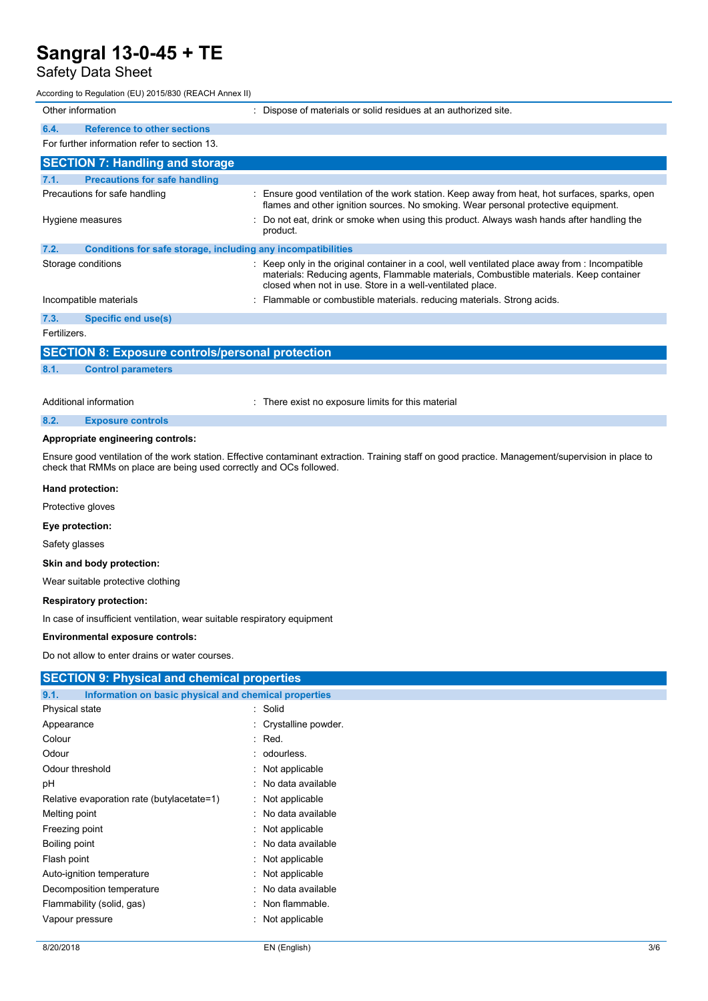## Safety Data Sheet

| Sangral 13-0-45 + TE                                                 |                                                                                                                                                                                                                                                        |
|----------------------------------------------------------------------|--------------------------------------------------------------------------------------------------------------------------------------------------------------------------------------------------------------------------------------------------------|
| <b>Safety Data Sheet</b>                                             |                                                                                                                                                                                                                                                        |
| According to Regulation (EU) 2015/830 (REACH Annex II)               |                                                                                                                                                                                                                                                        |
| Other information                                                    | : Dispose of materials or solid residues at an authorized site.                                                                                                                                                                                        |
| 6.4.<br><b>Reference to other sections</b>                           |                                                                                                                                                                                                                                                        |
| For further information refer to section 13.                         |                                                                                                                                                                                                                                                        |
| <b>SECTION 7: Handling and storage</b>                               |                                                                                                                                                                                                                                                        |
| <b>Precautions for safe handling</b><br>7.1.                         |                                                                                                                                                                                                                                                        |
| Precautions for safe handling                                        | : Ensure good ventilation of the work station. Keep away from heat, hot surfaces, sparks, open<br>flames and other ignition sources. No smoking. Wear personal protective equipment.                                                                   |
| Hygiene measures                                                     | : Do not eat, drink or smoke when using this product. Always wash hands after handling the<br>product.                                                                                                                                                 |
| 7.2.<br>Conditions for safe storage, including any incompatibilities |                                                                                                                                                                                                                                                        |
| Storage conditions                                                   | : Keep only in the original container in a cool, well ventilated place away from : Incompatible<br>materials: Reducing agents, Flammable materials, Combustible materials. Keep container<br>closed when not in use. Store in a well-ventilated place. |
| Incompatible materials                                               | : Flammable or combustible materials. reducing materials. Strong acids.                                                                                                                                                                                |
| 7.3.<br><b>Specific end use(s)</b>                                   |                                                                                                                                                                                                                                                        |
| Fertilizers.                                                         |                                                                                                                                                                                                                                                        |
| <b>SECTION 8: Exposure controls/personal protection</b>              |                                                                                                                                                                                                                                                        |
| 8.1.<br><b>Control parameters</b>                                    |                                                                                                                                                                                                                                                        |
|                                                                      |                                                                                                                                                                                                                                                        |
| Additional information                                               | : There exist no exposure limits for this material                                                                                                                                                                                                     |

| 8.2.<br><b>Exposure controls</b> |  |
|----------------------------------|--|
|----------------------------------|--|

#### Appropriate engineering controls:

#### Hand protection:

#### Eye protection:

#### Skin and body protection:

#### Respiratory protection:

#### Environmental exposure controls:

| Appropriate engineering controls:                                        |                                                                                                                                                    |
|--------------------------------------------------------------------------|----------------------------------------------------------------------------------------------------------------------------------------------------|
| check that RMMs on place are being used correctly and OCs followed.      | Ensure good ventilation of the work station. Effective contaminant extraction. Training staff on good practice. Management/supervision in place to |
| Hand protection:                                                         |                                                                                                                                                    |
| Protective gloves                                                        |                                                                                                                                                    |
| Eye protection:                                                          |                                                                                                                                                    |
| Safety glasses                                                           |                                                                                                                                                    |
| Skin and body protection:                                                |                                                                                                                                                    |
| Wear suitable protective clothing                                        |                                                                                                                                                    |
| <b>Respiratory protection:</b>                                           |                                                                                                                                                    |
| In case of insufficient ventilation, wear suitable respiratory equipment |                                                                                                                                                    |
| Environmental exposure controls:                                         |                                                                                                                                                    |
| Do not allow to enter drains or water courses.                           |                                                                                                                                                    |
| <b>SECTION 9: Physical and chemical properties</b>                       |                                                                                                                                                    |
| 9.1.<br>Information on basic physical and chemical properties            |                                                                                                                                                    |
| Physical state                                                           | Solid                                                                                                                                              |
| Appearance                                                               | Crystalline powder.                                                                                                                                |
| Colour                                                                   | Red.                                                                                                                                               |
| Odour                                                                    | odourless.                                                                                                                                         |
| Odour threshold                                                          | Not applicable                                                                                                                                     |
| рH                                                                       | No data available                                                                                                                                  |
| Relative evaporation rate (butylacetate=1)                               | Not applicable                                                                                                                                     |
| Melting point                                                            | No data available                                                                                                                                  |
| Freezing point                                                           | Not applicable                                                                                                                                     |
| Boiling point                                                            | No data available                                                                                                                                  |
| Flash point                                                              | Not applicable                                                                                                                                     |
| Auto-ignition temperature                                                | Not applicable                                                                                                                                     |
| Decomposition temperature                                                | No data available                                                                                                                                  |
| Flammability (solid, gas)                                                | Non flammable.                                                                                                                                     |
| Vapour pressure                                                          | Not applicable                                                                                                                                     |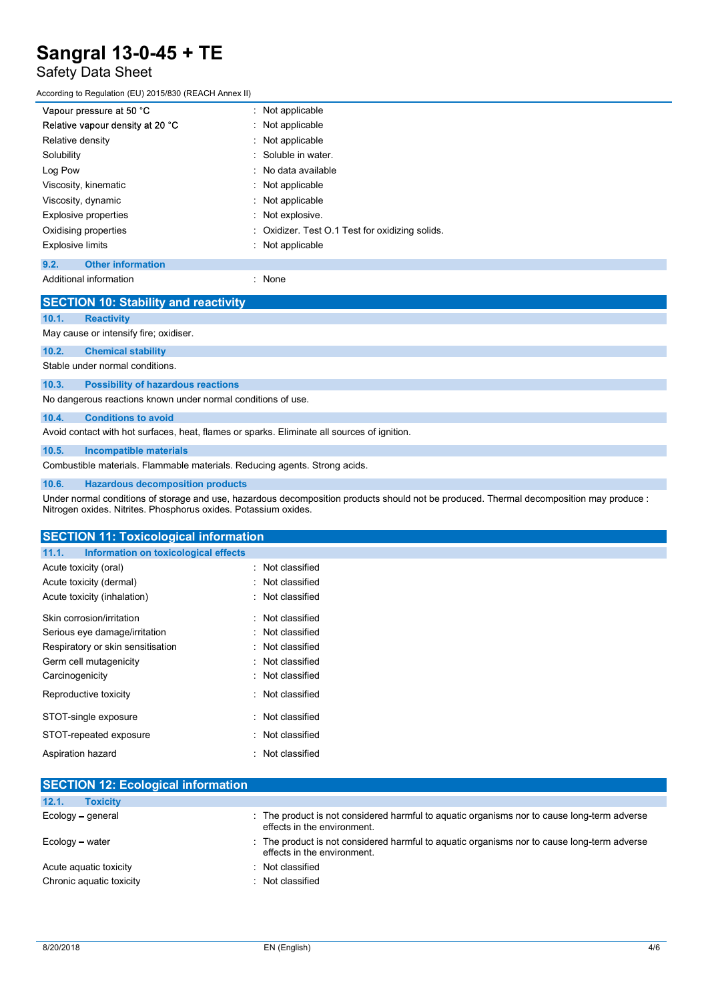# Safety Data Sheet

| Sangral 13-0-45 + TE                                  |                                               |  |
|-------------------------------------------------------|-----------------------------------------------|--|
| Safety Data Sheet                                     |                                               |  |
| ccording to Regulation (EU) 2015/830 (REACH Annex II) |                                               |  |
| Vapour pressure at 50 °C                              | Not applicable<br>÷.                          |  |
| Relative vapour density at 20 °C                      | Not applicable                                |  |
| Relative density                                      | Not applicable                                |  |
| Solubility                                            | Soluble in water.<br>$\bullet$                |  |
| Log Pow                                               | No data available                             |  |
| Viscosity, kinematic                                  | Not applicable                                |  |
| Viscosity, dynamic                                    | Not applicable                                |  |
| Explosive properties                                  | Not explosive.                                |  |
| Oxidising properties                                  | Oxidizer. Test O.1 Test for oxidizing solids. |  |
| <b>Explosive limits</b>                               | : Not applicable                              |  |

Additional information **information** : None

**SECTION 10: Stability and reactivity** 10.1. Reactivity May cause or intensify fire; oxidiser. 10.2. Chemical stability Stable under normal conditions. 10.3. Possibility of hazardous reactions No dangerous reactions known under normal conditions of use. 10.4. Conditions to avoid Avoid contact with hot surfaces, heat, flames or sparks. Eliminate all sources of ignition. 10.5. Incompatible materials Combustible materials. Flammable materials. Reducing agents. Strong acids.

#### 10.6. Hazardous decomposition products

Under normal conditions of storage and use, hazardous decomposition products should not be produced. Thermal decomposition may produce : Nitrogen oxides. Nitrites. Phosphorus oxides. Potassium oxides.

| <b>SECTION 11: Toxicological information</b>  |                  |
|-----------------------------------------------|------------------|
| Information on toxicological effects<br>11.1. |                  |
| Acute toxicity (oral)                         | : Not classified |
| Acute toxicity (dermal)                       | : Not classified |
| Acute toxicity (inhalation)                   | : Not classified |
| Skin corrosion/irritation                     | : Not classified |
| Serious eye damage/irritation                 | : Not classified |
| Respiratory or skin sensitisation             | : Not classified |
| Germ cell mutagenicity                        | : Not classified |
| Carcinogenicity                               | : Not classified |
| Reproductive toxicity                         | : Not classified |
| STOT-single exposure                          | : Not classified |
| STOT-repeated exposure                        | : Not classified |
| Aspiration hazard                             | Not classified   |
|                                               |                  |

| <b>SECTION 12: Ecological information</b>          |                                                                                                                            |
|----------------------------------------------------|----------------------------------------------------------------------------------------------------------------------------|
| 12.1.<br><b>Toxicity</b>                           |                                                                                                                            |
| Ecology – general                                  | : The product is not considered harmful to aguatic organisms nor to cause long-term adverse<br>effects in the environment. |
| Ecology - water                                    | : The product is not considered harmful to aguatic organisms nor to cause long-term adverse<br>effects in the environment. |
| Acute aguatic toxicity<br>Chronic aquatic toxicity | Not classified<br>Not classified                                                                                           |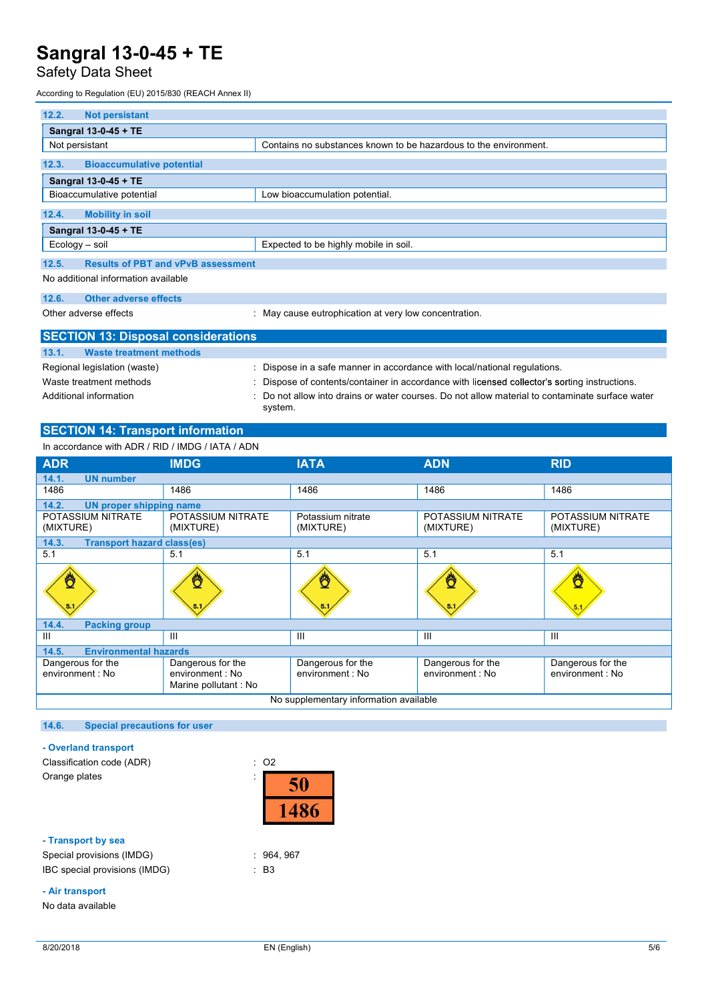# Safety Data Sheet

According to Regulation (EU) 2015/830 (REACH Annex II)

| 12.2.<br><b>Not persistant</b>                     |                                                                  |
|----------------------------------------------------|------------------------------------------------------------------|
| Sangral 13-0-45 + TE                               |                                                                  |
| Not persistant                                     | Contains no substances known to be hazardous to the environment. |
| 12.3.<br><b>Bioaccumulative potential</b>          |                                                                  |
| Sangral 13-0-45 + TE                               |                                                                  |
| Bioaccumulative potential                          | Low bioaccumulation potential.                                   |
| 12.4.<br><b>Mobility in soil</b>                   |                                                                  |
| Sangral 13-0-45 + TE                               |                                                                  |
| Ecology - soil                                     | Expected to be highly mobile in soil.                            |
| 12.5.<br><b>Results of PBT and vPvB assessment</b> |                                                                  |
| No additional information available                |                                                                  |
| Other adverse effects<br>12.6.                     |                                                                  |
| Other adverse effects                              | : May cause eutrophication at very low concentration.            |

| <b>SECTION 13: Disposal considerations</b> |                                                                                                            |
|--------------------------------------------|------------------------------------------------------------------------------------------------------------|
| 13.1.<br>Waste treatment methods           |                                                                                                            |
| Regional legislation (waste)               | Dispose in a safe manner in accordance with local/national regulations.                                    |
| Waste treatment methods                    | Dispose of contents/container in accordance with licensed collector's sorting instructions.                |
| Additional information                     | : Do not allow into drains or water courses. Do not allow material to contaminate surface water<br>system. |

### SECTION 14: Transport information

| <b>SECTION 13: Disposal considerations</b>       |                                                               |                                                                                                          |                                                                                               |                                       |
|--------------------------------------------------|---------------------------------------------------------------|----------------------------------------------------------------------------------------------------------|-----------------------------------------------------------------------------------------------|---------------------------------------|
| <b>Waste treatment methods</b><br>13.1.          |                                                               |                                                                                                          |                                                                                               |                                       |
| Regional legislation (waste)                     |                                                               |                                                                                                          | : Dispose in a safe manner in accordance with local/national regulations.                     |                                       |
| Waste treatment methods                          |                                                               |                                                                                                          | : Dispose of contents/container in accordance with licensed collector's sorting instructions. |                                       |
| Additional information                           |                                                               | Do not allow into drains or water courses. Do not allow material to contaminate surface water<br>system. |                                                                                               |                                       |
| <b>SECTION 14: Transport information</b>         |                                                               |                                                                                                          |                                                                                               |                                       |
| In accordance with ADR / RID / IMDG / IATA / ADN |                                                               |                                                                                                          |                                                                                               |                                       |
| <b>ADR</b>                                       | <b>IMDG</b>                                                   | <b>IATA</b>                                                                                              | <b>ADN</b>                                                                                    | <b>RID</b>                            |
| <b>UN number</b><br>14.1.                        |                                                               |                                                                                                          |                                                                                               |                                       |
| 1486                                             | 1486                                                          | 1486                                                                                                     | 1486                                                                                          | 1486                                  |
| 14.2.<br><b>UN proper shipping name</b>          |                                                               |                                                                                                          |                                                                                               |                                       |
| POTASSIUM NITRATE<br>(MIXTURE)                   | POTASSIUM NITRATE<br>(MIXTURE)                                | Potassium nitrate<br>(MIXTURE)                                                                           | POTASSIUM NITRATE<br>(MIXTURE)                                                                | POTASSIUM NITRATE<br>(MIXTURE)        |
| <b>Transport hazard class(es)</b><br>14.3.       |                                                               |                                                                                                          |                                                                                               |                                       |
| 5.1                                              | 5.1                                                           | 5.1                                                                                                      | 5.1                                                                                           | 5.1                                   |
|                                                  |                                                               |                                                                                                          |                                                                                               |                                       |
| <b>Packing group</b><br>14.4.                    |                                                               |                                                                                                          |                                                                                               |                                       |
| $\mathbf{III}$                                   | $\mathbf{III}$                                                | Ш                                                                                                        | Ш                                                                                             | Ш                                     |
| <b>Environmental hazards</b><br>14.5.            |                                                               |                                                                                                          |                                                                                               |                                       |
| Dangerous for the<br>environment: No             | Dangerous for the<br>environment : No<br>Marine pollutant: No | Dangerous for the<br>environment : No                                                                    | Dangerous for the<br>environment : No                                                         | Dangerous for the<br>environment : No |
|                                                  |                                                               | No supplementary information available                                                                   |                                                                                               |                                       |
|                                                  |                                                               |                                                                                                          |                                                                                               |                                       |

### 14.6. Special precautions for user

### - Overland transport

Classification code (ADR) : O2



#### - Transport by sea

| - Transport by sea            |           |  |
|-------------------------------|-----------|--|
| Special provisions (IMDG)     | : 964.967 |  |
| IBC special provisions (IMDG) | : B3      |  |

#### - Air transport

No data available